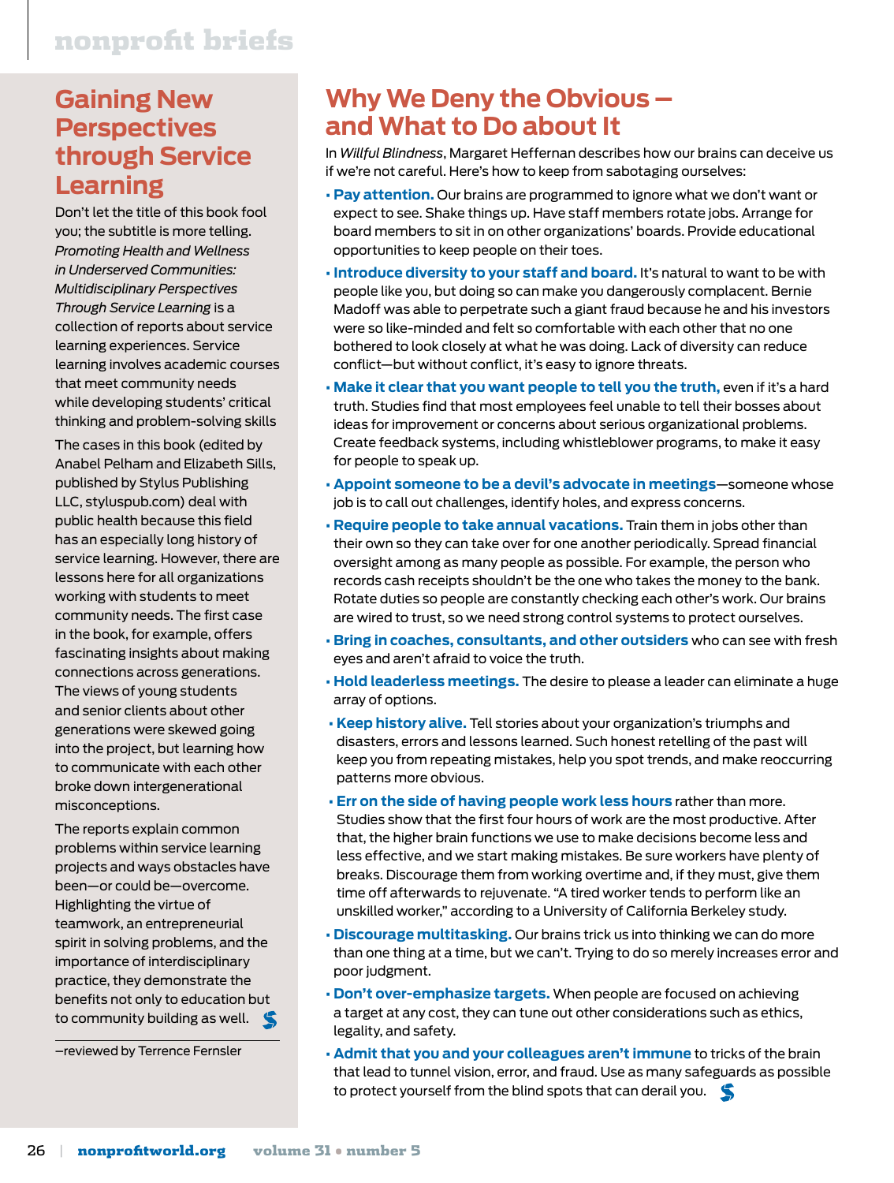#### **Gaining New Perspectives through Service Learning**

Don't let the title of this book fool you; the subtitle is more telling. *Promoting Health and Wellness in Underserved Communities: Multidisciplinary Perspectives Through Service Learning* is a collection of reports about service learning experiences. Service learning involves academic courses that meet community needs while developing students' critical thinking and problem-solving skills

The cases in this book (edited by Anabel Pelham and Elizabeth Sills, published by Stylus Publishing LLC, styluspub.com) deal with public health because this field has an especially long history of service learning. However, there are lessons here for all organizations working with students to meet community needs. The first case in the book, for example, offers fascinating insights about making connections across generations. The views of young students and senior clients about other generations were skewed going into the project, but learning how to communicate with each other broke down intergenerational misconceptions.

The reports explain common problems within service learning projects and ways obstacles have been—or could be—overcome. Highlighting the virtue of teamwork, an entrepreneurial spirit in solving problems, and the importance of interdisciplinary practice, they demonstrate the benefits not only to education but to community building as well.

–reviewed by Terrence Fernsler

#### **Why We Deny the Obvious – and What to Do about It**

In *Willful Blindness*, Margaret Heffernan describes how our brains can deceive us if we're not careful. Here's how to keep from sabotaging ourselves:

- **Pay attention.** Our brains are programmed to ignore what we don't want or expect to see. Shake things up. Have staff members rotate jobs. Arrange for board members to sit in on other organizations' boards. Provide educational opportunities to keep people on their toes.
- **Introduce diversity to your staff and board.** It's natural to want to be with people like you, but doing so can make you dangerously complacent. Bernie Madoff was able to perpetrate such a giant fraud because he and his investors were so like-minded and felt so comfortable with each other that no one bothered to look closely at what he was doing. Lack of diversity can reduce conflict—but without conflict, it's easy to ignore threats.
- **Make it clear that you want people to tell you the truth,** even if it's a hard truth. Studies find that most employees feel unable to tell their bosses about ideas for improvement or concerns about serious organizational problems. Create feedback systems, including whistleblower programs, to make it easy for people to speak up.
- **Appoint someone to be a devil's advocate in meetings**—someone whose job is to call out challenges, identify holes, and express concerns.
- **Require people to take annual vacations.** Train them in jobs other than their own so they can take over for one another periodically. Spread financial oversight among as many people as possible. For example, the person who records cash receipts shouldn't be the one who takes the money to the bank. Rotate duties so people are constantly checking each other's work. Our brains are wired to trust, so we need strong control systems to protect ourselves.
- **Bring in coaches, consultants, and other outsiders** who can see with fresh eyes and aren't afraid to voice the truth.
- **Hold leaderless meetings.** The desire to please a leader can eliminate a huge array of options.
- **Keep history alive.** Tell stories about your organization's triumphs and disasters, errors and lessons learned. Such honest retelling of the past will keep you from repeating mistakes, help you spot trends, and make reoccurring patterns more obvious.
- **Err on the side of having people work less hours** rather than more. Studies show that the first four hours of work are the most productive. After that, the higher brain functions we use to make decisions become less and less effective, and we start making mistakes. Be sure workers have plenty of breaks. Discourage them from working overtime and, if they must, give them time off afterwards to rejuvenate. "A tired worker tends to perform like an unskilled worker," according to a University of California Berkeley study.
- **Discourage multitasking.** Our brains trick us into thinking we can do more than one thing at a time, but we can't. Trying to do so merely increases error and poor judgment.
- **Don't over-emphasize targets.** When people are focused on achieving a target at any cost, they can tune out other considerations such as ethics, legality, and safety.
- **Admit that you and your colleagues aren't immune** to tricks of the brain that lead to tunnel vision, error, and fraud. Use as many safeguards as possible to protect yourself from the blind spots that can derail you.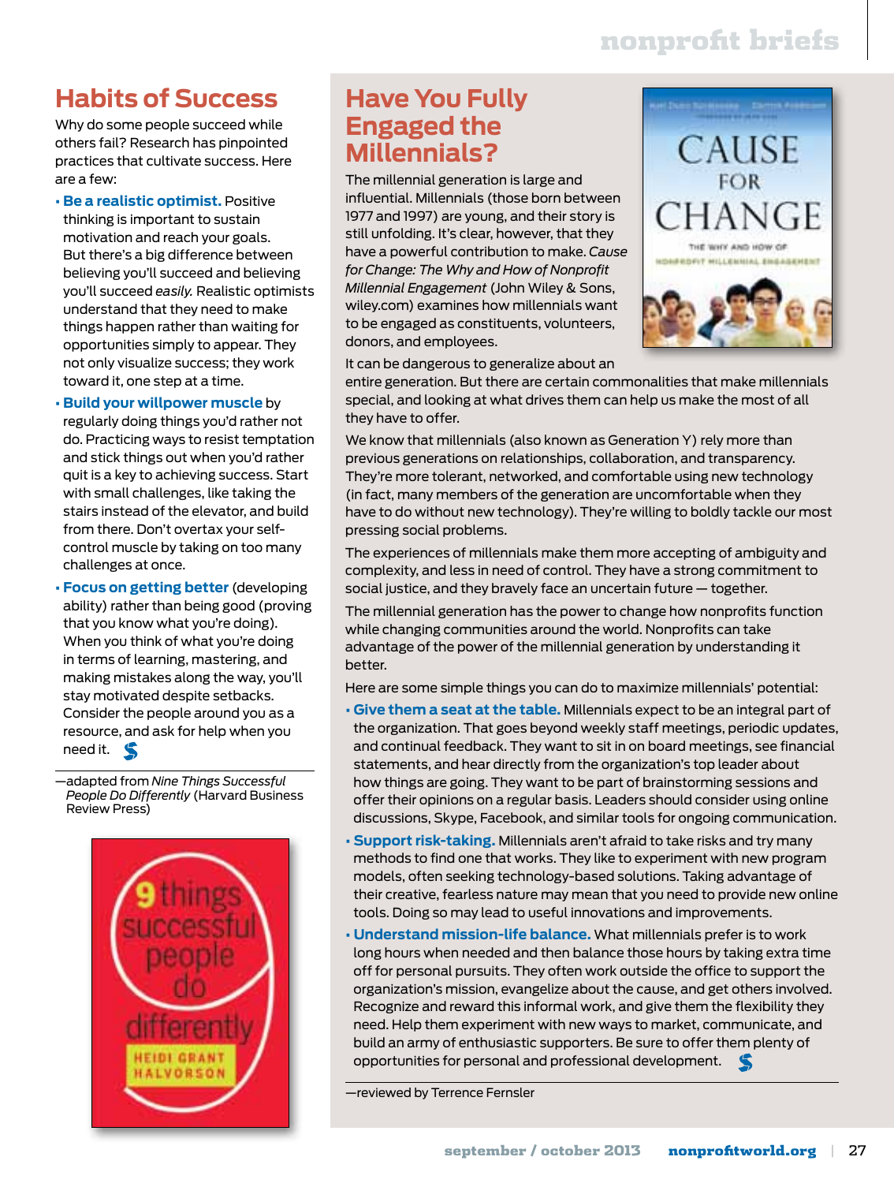# nonprofit briefs

### **Habits of Success**

Why do some people succeed while others fail? Research has pinpointed practices that cultivate success. Here are a few:

- **Be a realistic optimist.** Positive thinking is important to sustain motivation and reach your goals. But there's a big difference between believing you'll succeed and believing you'll succeed *easily.* Realistic optimists understand that they need to make things happen rather than waiting for opportunities simply to appear. They not only visualize success; they work toward it, one step at a time.
- **Build your willpower muscle** by regularly doing things you'd rather not do. Practicing ways to resist temptation and stick things out when you'd rather quit is a key to achieving success. Start with small challenges, like taking the stairs instead of the elevator, and build from there. Don't overtax your selfcontrol muscle by taking on too many challenges at once.
- **Focus on getting better** (developing ability) rather than being good (proving that you know what you're doing). When you think of what you're doing in terms of learning, mastering, and making mistakes along the way, you'll stay motivated despite setbacks. Consider the people around you as a resource, and ask for help when you need it.

—adapted from *Nine Things Successful People Do Differently* (Harvard Business Review Press)



#### **Have You Fully Engaged the Millennials?**

The millennial generation is large and influential. Millennials (those born between 1977 and 1997) are young, and their story is still unfolding. It's clear, however, that they have a powerful contribution to make. *Cause for Change: The Why and How of Nonprofit Millennial Engagement* (John Wiley & Sons, wiley.com) examines how millennials want to be engaged as constituents, volunteers, donors, and employees.



It can be dangerous to generalize about an

entire generation. But there are certain commonalities that make millennials special, and looking at what drives them can help us make the most of all they have to offer.

We know that millennials (also known as Generation Y) rely more than previous generations on relationships, collaboration, and transparency. They're more tolerant, networked, and comfortable using new technology (in fact, many members of the generation are uncomfortable when they have to do without new technology). They're willing to boldly tackle our most pressing social problems.

The experiences of millennials make them more accepting of ambiguity and complexity, and less in need of control. They have a strong commitment to social justice, and they bravely face an uncertain future — together.

The millennial generation has the power to change how nonprofits function while changing communities around the world. Nonprofits can take advantage of the power of the millennial generation by understanding it better.

Here are some simple things you can do to maximize millennials' potential:

- **Give them a seat at the table.** Millennials expect to be an integral part of the organization. That goes beyond weekly staff meetings, periodic updates, and continual feedback. They want to sit in on board meetings, see financial statements, and hear directly from the organization's top leader about how things are going. They want to be part of brainstorming sessions and offer their opinions on a regular basis. Leaders should consider using online discussions, Skype, Facebook, and similar tools for ongoing communication.
- **Support risk-taking.** Millennials aren't afraid to take risks and try many methods to find one that works. They like to experiment with new program models, often seeking technology-based solutions. Taking advantage of their creative, fearless nature may mean that you need to provide new online tools. Doing so may lead to useful innovations and improvements.
- **Understand mission-life balance.** What millennials prefer is to work long hours when needed and then balance those hours by taking extra time off for personal pursuits. They often work outside the office to support the organization's mission, evangelize about the cause, and get others involved. Recognize and reward this informal work, and give them the flexibility they need. Help them experiment with new ways to market, communicate, and build an army of enthusiastic supporters. Be sure to offer them plenty of opportunities for personal and professional development.

—reviewed by Terrence Fernsler